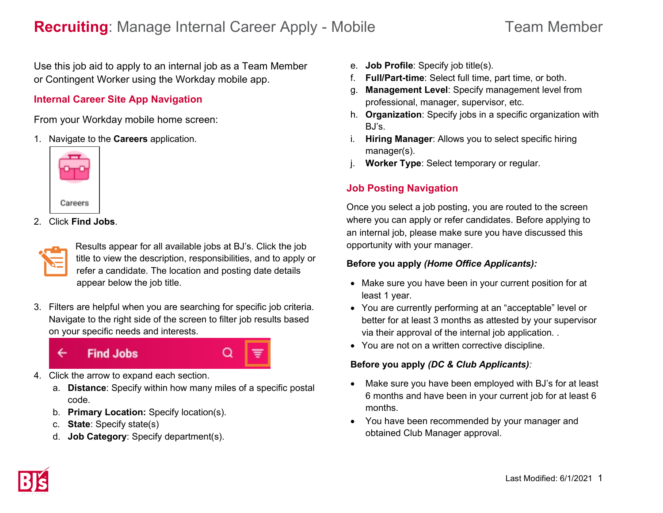Use this job aid to apply to an internal job as a Team Member or Contingent Worker using the Workday mobile app.

### **Internal Career Site App Navigation**

From your Workday mobile home screen:

1. Navigate to the **Careers** application.



2. Click **Find Jobs**.

Results appear for all available jobs at BJ's. Click the job title to view the description, responsibilities, and to apply or refer a candidate. The location and posting date details appear below the job title.

3. Filters are helpful when you are searching for specific job criteria. Navigate to the right side of the screen to filter job results based on your specific needs and interests.



- 4. Click the arrow to expand each section.
	- a. **Distance**: Specify within how many miles of a specific postal code.
	- b. **Primary Location:** Specify location(s).
	- c. **State**: Specify state(s)
	- d. **Job Category**: Specify department(s).
- e. **Job Profile**: Specify job title(s).
- f. **Full/Part-time**: Select full time, part time, or both.
- g. **Management Level**: Specify management level from professional, manager, supervisor, etc.
- h. **Organization**: Specify jobs in a specific organization with BJ's.
- i. **Hiring Manager**: Allows you to select specific hiring manager(s).
- j. **Worker Type**: Select temporary or regular.

# **Job Posting Navigation**

Once you select a job posting, you are routed to the screen where you can apply or refer candidates. Before applying to an internal job, please make sure you have discussed this opportunity with your manager.

### **Before you apply** *(Home Office Applicants):*

- Make sure you have been in your current position for at least 1 year.
- You are currently performing at an "acceptable" level or better for at least 3 months as attested by your supervisor via their approval of the internal job application. .
- You are not on a written corrective discipline.

### **Before you apply** *(DC & Club Applicants):*

- Make sure you have been employed with BJ's for at least 6 months and have been in your current job for at least 6 months.
- You have been recommended by your manager and obtained Club Manager approval.